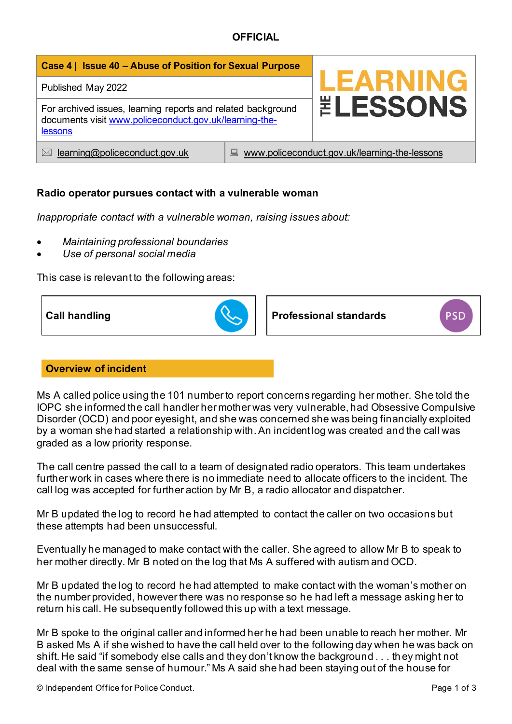| Case 4   Issue 40 - Abuse of Position for Sexual Purpose                                                                          |                                                    |                        |
|-----------------------------------------------------------------------------------------------------------------------------------|----------------------------------------------------|------------------------|
| Published May 2022                                                                                                                |                                                    | <b>LEARNING</b>        |
| For archived issues, learning reports and related background<br>documents visit www.policeconduct.gov.uk/learning-the-<br>lessons |                                                    | <b><i>ELESSONS</i></b> |
| learning@policeconduct.gov.uk<br>$\bowtie$                                                                                        | www.policeconduct.gov.uk/learning-the-lessons<br>鳳 |                        |

# **Radio operator pursues contact with a vulnerable woman**

*Inappropriate contact with a vulnerable woman, raising issues about:* 

- *Maintaining professional boundaries*
- *Use of personal social media*

This case is relevant to the following areas:



### **Overview of incident**

Ms A called police using the 101 number to report concerns regarding her mother. She told the IOPC she informed the call handler her mother was very vulnerable, had Obsessive Compulsive Disorder (OCD) and poor eyesight, and she was concerned she was being financially exploited by a woman she had started a relationship with. An incident log was created and the call was graded as a low priority response.

The call centre passed the call to a team of designated radio operators. This team undertakes further work in cases where there is no immediate need to allocate officers to the incident. The call log was accepted for further action by Mr B, a radio allocator and dispatcher.

Mr B updated the log to record he had attempted to contact the caller on two occasions but these attempts had been unsuccessful.

Eventually he managed to make contact with the caller. She agreed to allow Mr B to speak to her mother directly. Mr B noted on the log that Ms A suffered with autism and OCD.

Mr B updated the log to record he had attempted to make contact with the woman's mother on the number provided, however there was no response so he had left a message asking her to return his call. He subsequently followed this up with a text message.

Mr B spoke to the original caller and informed her he had been unable to reach her mother. Mr B asked Ms A if she wished to have the call held over to the following day when he was back on shift. He said "if somebody else calls and they don't know the background . . . th ey might not deal with the same sense of humour." Ms A said she had been staying out of the house for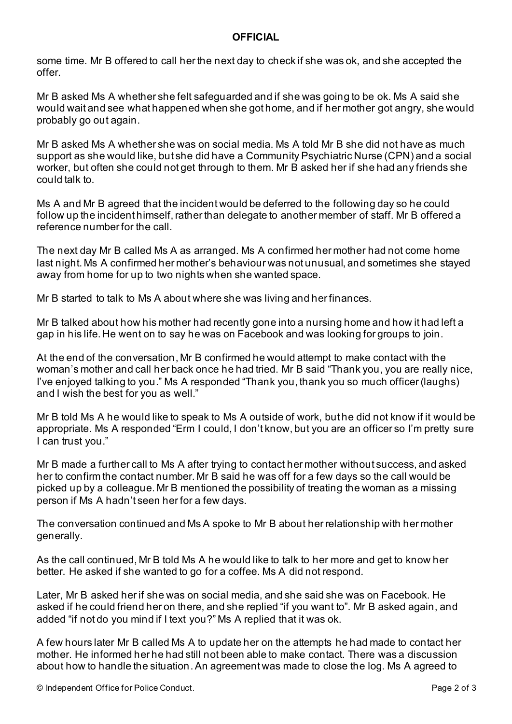some time. Mr B offered to call her the next day to check if she was ok, and she accepted the offer.

Mr B asked Ms A whether she felt safeguarded and if she was going to be ok. Ms A said she would wait and see what happened when she got home, and if her mother got angry, she would probably go out again.

Mr B asked Ms A whether she was on social media. Ms A told Mr B she did not have as much support as she would like, but she did have a Community Psychiatric Nurse (CPN) and a social worker, but often she could not get through to them. Mr B asked her if she had any friends she could talk to.

Ms A and Mr B agreed that the incident would be deferred to the following day so he could follow up the incident himself, rather than delegate to another member of staff. Mr B offered a reference number for the call.

The next day Mr B called Ms A as arranged. Ms A confirmed her mother had not come home last night. Ms A confirmed her mother's behaviour was not unusual, and sometimes she stayed away from home for up to two nights when she wanted space.

Mr B started to talk to Ms A about where she was living and her finances.

Mr B talked about how his mother had recently gone into a nursing home and how it had left a gap in his life. He went on to say he was on Facebook and was looking for groups to join.

At the end of the conversation, Mr B confirmed he would attempt to make contact with the woman's mother and call her back once he had tried. Mr B said "Thank you, you are really nice, I've enjoyed talking to you." Ms A responded "Thank you, thank you so much officer (laughs) and I wish the best for you as well."

Mr B told Ms A he would like to speak to Ms A outside of work, but he did not know if it would be appropriate. Ms A responded "Erm I could, I don't know, but you are an officer so I'm pretty sure I can trust you."

Mr B made a further call to Ms A after trying to contact her mother without success, and asked her to confirm the contact number. Mr B said he was off for a few days so the call would be picked up by a colleague. Mr B mentioned the possibility of treating the woman as a missing person if Ms A hadn't seen her for a few days.

The conversation continued and Ms A spoke to Mr B about her relationship with her mother generally.

As the call continued, Mr B told Ms A he would like to talk to her more and get to know her better. He asked if she wanted to go for a coffee. Ms A did not respond.

Later, Mr B asked her if she was on social media, and she said she was on Facebook. He asked if he could friend her on there, and she replied "if you want to". Mr B asked again, and added "if not do you mind if I text you?" Ms A replied that it was ok.

A few hours later Mr B called Ms A to update her on the attempts he had made to contact her mother. He informed her he had still not been able to make contact. There was a discussion about how to handle the situation. An agreement was made to close the log. Ms A agreed to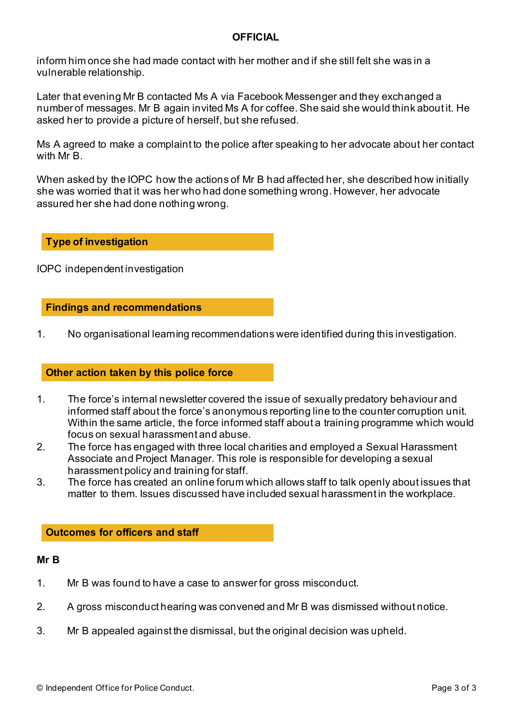inform him once she had made contact with her mother and if she still felt she was in a vulnerable relationship.

Later that evening Mr B contacted Ms A via Facebook Messenger and they exchanged a number of messages. Mr B again invited Ms A for coffee.She said she would think about it. He asked her to provide a picture of herself, but she refused.

Ms A agreed to make a complaint to the police after speaking to her advocate about her contact with Mr B.

When asked by the IOPC how the actions of Mr B had affected her, she described how initially she was worried that it was her who had done something wrong. However, her advocate assured her she had done nothing wrong.

#### **Type of investigation**

IOPC independent investigation

#### **Findings and recommendations**

1. No organisational learning recommendations were identified during this investigation.

### **Other action taken by this police force**

- 1. The force's internal newsletter covered the issue of sexually predatory behaviour and informed staff about the force's anonymous reporting line to the counter corruption unit. Within the same article, the force informed staff about a training programme which would focus on sexual harassment and abuse.
- 2. The force has engaged with three local charities and employed a Sexual Harassment Associate and Project Manager. This role is responsible for developing a sexual harassment policy and training for staff.
- 3. The force has created an online forum which allows staff to talk openly about issues that matter to them. Issues discussed have included sexual harassment in the workplace.

#### **Outcomes for officers and staff**

#### **Mr B**

- 1. Mr B was found to have a case to answer for gross misconduct.
- 2. A gross misconduct hearing was convened and Mr B was dismissed without notice.
- 3. Mr B appealed against the dismissal, but the original decision was upheld.